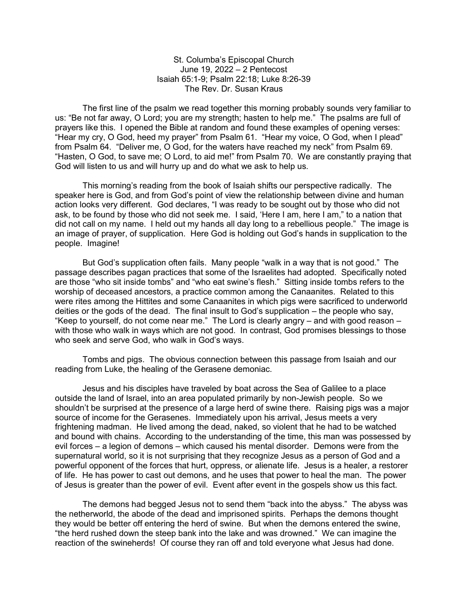St. Columba's Episcopal Church June 19, 2022 – 2 Pentecost Isaiah 65:1-9; Psalm 22:18; Luke 8:26-39 The Rev. Dr. Susan Kraus

 The first line of the psalm we read together this morning probably sounds very familiar to us: "Be not far away, O Lord; you are my strength; hasten to help me." The psalms are full of prayers like this. I opened the Bible at random and found these examples of opening verses: "Hear my cry, O God, heed my prayer" from Psalm 61. "Hear my voice, O God, when I plead" from Psalm 64. "Deliver me, O God, for the waters have reached my neck" from Psalm 69. "Hasten, O God, to save me; O Lord, to aid me!" from Psalm 70. We are constantly praying that God will listen to us and will hurry up and do what we ask to help us.

 This morning's reading from the book of Isaiah shifts our perspective radically. The speaker here is God, and from God's point of view the relationship between divine and human action looks very different. God declares, "I was ready to be sought out by those who did not ask, to be found by those who did not seek me. I said, 'Here I am, here I am," to a nation that did not call on my name. I held out my hands all day long to a rebellious people." The image is an image of prayer, of supplication. Here God is holding out God's hands in supplication to the people. Imagine!

 But God's supplication often fails. Many people "walk in a way that is not good." The passage describes pagan practices that some of the Israelites had adopted. Specifically noted are those "who sit inside tombs" and "who eat swine's flesh." Sitting inside tombs refers to the worship of deceased ancestors, a practice common among the Canaanites. Related to this were rites among the Hittites and some Canaanites in which pigs were sacrificed to underworld deities or the gods of the dead. The final insult to God's supplication – the people who say, "Keep to yourself, do not come near me." The Lord is clearly angry – and with good reason – with those who walk in ways which are not good. In contrast, God promises blessings to those who seek and serve God, who walk in God's ways.

 Tombs and pigs. The obvious connection between this passage from Isaiah and our reading from Luke, the healing of the Gerasene demoniac.

 Jesus and his disciples have traveled by boat across the Sea of Galilee to a place outside the land of Israel, into an area populated primarily by non-Jewish people. So we shouldn't be surprised at the presence of a large herd of swine there. Raising pigs was a major source of income for the Gerasenes. Immediately upon his arrival, Jesus meets a very frightening madman. He lived among the dead, naked, so violent that he had to be watched and bound with chains. According to the understanding of the time, this man was possessed by evil forces – a legion of demons – which caused his mental disorder. Demons were from the supernatural world, so it is not surprising that they recognize Jesus as a person of God and a powerful opponent of the forces that hurt, oppress, or alienate life. Jesus is a healer, a restorer of life. He has power to cast out demons, and he uses that power to heal the man. The power of Jesus is greater than the power of evil. Event after event in the gospels show us this fact.

 The demons had begged Jesus not to send them "back into the abyss." The abyss was the netherworld, the abode of the dead and imprisoned spirits. Perhaps the demons thought they would be better off entering the herd of swine. But when the demons entered the swine, "the herd rushed down the steep bank into the lake and was drowned." We can imagine the reaction of the swineherds! Of course they ran off and told everyone what Jesus had done.